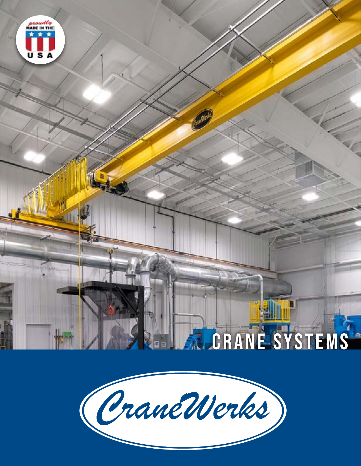

# **CRANE SYSTEMS**

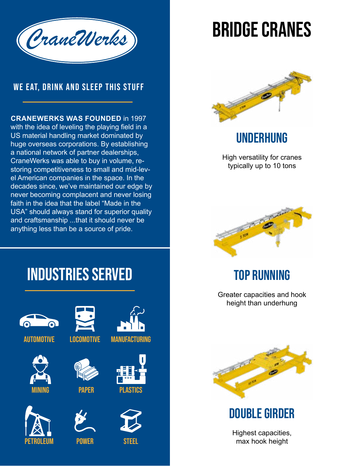

#### we eat, drink and sleep this stuff

**CRANEWERKS WAS FOUNDED** in 1997 with the idea of leveling the playing field in a US material handling market dominated by huge overseas corporations. By establishing a national network of partner dealerships, CraneWerks was able to buy in volume, restoring competitiveness to small and mid-level American companies in the space. In the decades since, we've maintained our edge by never becoming complacent and never losing faith in the idea that the label "Made in the USA" should always stand for superior quality and craftsmanship ...that it should never be anything less than be a source of pride.

# Bridge Cranes



# **UNDERHUNG**

High versatility for cranes typically up to 10 tons



# Top Running

Greater capacities and hook height than underhung



# Double Girder

Highest capacities, max hook height

# Industries served



**AUTOMOTIVE** 





**APFR** 



locomotive Manufacturing







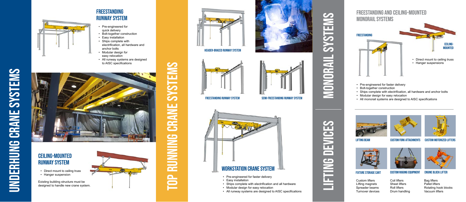# Ceiling-Mounted Runway System

- Direct mount to ceiling truss
- Hanger suspension



# **FREESTANDING** Runway System

Existing building structure must be designed to handle new crane system.



SIVETEMS Top Running Crane Systems **CRANE BUNNING** È



Underhung Crane Systems

UNDERHUNG CRANE SYSTEMS

- Pre-engineered for faster delivery
- Bolt-together construction
- Ships complete with electrification, all hardware and anchor bolts
- 
- Modular design for easy relocation<br>• All monorail systems are designed to AISC specifications





- Pre-engineered for quick delivery
- Bolt-together construction
- Easy installation
- Ships complete with electrification, all hardware and anchor bolts
- Modular design for easy relocation
- All runway systems are designed to AISC specifications





### Freestanding and ceiling-mounted monorail systems



- 
- 
- 
- 





FREESTANDING RUNWAY SYSTEM SEMI-FREESTANDING RUNWAY SYSTEM

• Pre-engineered for faster delivery

• Easy installation

• Ships complete with electrification and all hardware • Modular design for easy relocation

• All runway systems are designed to AISC specifications

# S Monorail Systems **NELSAS ORAL NON**

DEVICES lifting devices Œ **NILE** 

Header-braced runway system



Lifting beam





Fixture Storage Cart

Custom Fork Attachments





custom motorized lifters



Engine Block Lifter

Custom lifters Lifting magnets Spreader beams Turnover devices

Coil lifters Sheet lifters Roll lifters Drum handling Bag lifters Pallet lifters Rotating hook blocks Vacuum lifters